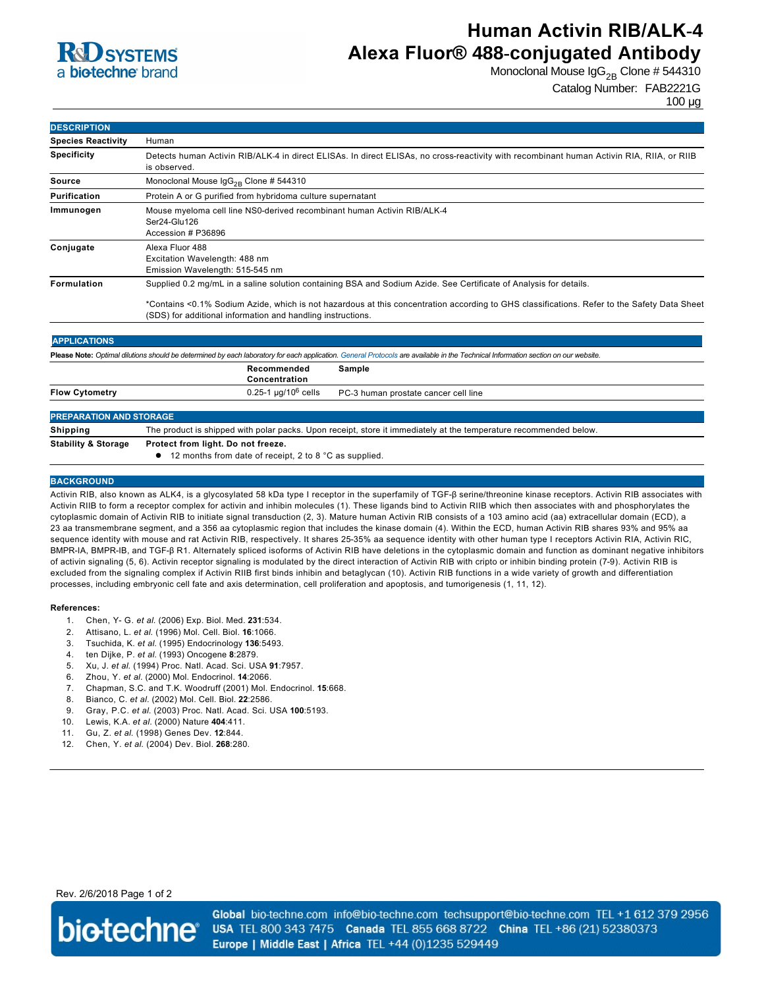

# **Human Activin RIB/ALK-4 Alexa Fluor® 488-conjugated Antibody**

Monoclonal Mouse  $\log_{2B}$  Clone # 544310

### Catalog Number: FAB2221G

100 µg

| <b>DESCRIPTION</b>                                                                                                                                                                |                                                                                                                                                                                                                                                                                                                                 |
|-----------------------------------------------------------------------------------------------------------------------------------------------------------------------------------|---------------------------------------------------------------------------------------------------------------------------------------------------------------------------------------------------------------------------------------------------------------------------------------------------------------------------------|
| <b>Species Reactivity</b>                                                                                                                                                         | Human                                                                                                                                                                                                                                                                                                                           |
| <b>Specificity</b>                                                                                                                                                                | Detects human Activin RIB/ALK-4 in direct ELISAs. In direct ELISAs, no cross-reactivity with recombinant human Activin RIA, RIIA, or RIIB<br>is observed.                                                                                                                                                                       |
| Source                                                                                                                                                                            | Monoclonal Mouse $\lg G_{2R}$ Clone # 544310                                                                                                                                                                                                                                                                                    |
| Purification                                                                                                                                                                      | Protein A or G purified from hybridoma culture supernatant                                                                                                                                                                                                                                                                      |
| Immunogen                                                                                                                                                                         | Mouse myeloma cell line NS0-derived recombinant human Activin RIB/ALK-4<br>Ser24-Glu126<br>Accession # P36896                                                                                                                                                                                                                   |
| Conjugate                                                                                                                                                                         | Alexa Fluor 488<br>Excitation Wavelength: 488 nm<br>Emission Wavelength: 515-545 nm                                                                                                                                                                                                                                             |
| <b>Formulation</b>                                                                                                                                                                | Supplied 0.2 mg/mL in a saline solution containing BSA and Sodium Azide. See Certificate of Analysis for details.<br>*Contains <0.1% Sodium Azide, which is not hazardous at this concentration according to GHS classifications. Refer to the Safety Data Sheet<br>(SDS) for additional information and handling instructions. |
| <b>APPLICATIONS</b>                                                                                                                                                               |                                                                                                                                                                                                                                                                                                                                 |
| Please Note: Optimal dilutions should be determined by each laboratory for each application. General Protocols are available in the Technical Information section on our website. |                                                                                                                                                                                                                                                                                                                                 |
|                                                                                                                                                                                   | Recommended<br>Sample<br>Concentration                                                                                                                                                                                                                                                                                          |

| <b>Flow Cytometry</b>          | $0.25$ -1 µg/10 $^6$ cells<br>PC-3 human prostate cancer cell line                                                |
|--------------------------------|-------------------------------------------------------------------------------------------------------------------|
|                                |                                                                                                                   |
| <b>PREPARATION AND STORAGE</b> |                                                                                                                   |
| <b>Shipping</b>                | The product is shipped with polar packs. Upon receipt, store it immediately at the temperature recommended below. |
| <b>Stability &amp; Storage</b> | Protect from light. Do not freeze.                                                                                |
|                                | • 12 months from date of receipt, 2 to 8 °C as supplied.                                                          |

#### **BACKGROUND**

Activin RIB, also known as ALK4, is a glycosylated 58 kDa type I receptor in the superfamily of TGF-β serine/threonine kinase receptors. Activin RIB associates with Activin RIIB to form a receptor complex for activin and inhibin molecules (1). These ligands bind to Activin RIIB which then associates with and phosphorylates the cytoplasmic domain of Activin RIB to initiate signal transduction (2, 3). Mature human Activin RIB consists of a 103 amino acid (aa) extracellular domain (ECD), a 23 aa transmembrane segment, and a 356 aa cytoplasmic region that includes the kinase domain (4). Within the ECD, human Activin RIB shares 93% and 95% aa sequence identity with mouse and rat Activin RIB, respectively. It shares 2535% aa sequence identity with other human type I receptors Activin RIA, Activin RIC, BMPRIA, BMPRIB, and TGFβ R1. Alternately spliced isoforms of Activin RIB have deletions in the cytoplasmic domain and function as dominant negative inhibitors of activin signaling (5, 6). Activin receptor signaling is modulated by the direct interaction of Activin RIB with cripto or inhibin binding protein (79). Activin RIB is excluded from the signaling complex if Activin RIIB first binds inhibin and betaglycan (10). Activin RIB functions in a wide variety of growth and differentiation processes, including embryonic cell fate and axis determination, cell proliferation and apoptosis, and tumorigenesis (1, 11, 12).

#### **References:**

- 1. Chen, Y G. *et al*. (2006) Exp. Biol. Med. **231**:534.
- 2. Attisano, L. *et al*. (1996) Mol. Cell. Biol. **16**:1066.
- 3. Tsuchida, K. *et al*. (1995) Endocrinology **136**:5493.
- 4. ten Dijke, P. *et al*. (1993) Oncogene **8**:2879.
- 5. Xu, J. *et al*. (1994) Proc. Natl. Acad. Sci. USA **91**:7957.
- 6. Zhou, Y. *et al*. (2000) Mol. Endocrinol. **14**:2066.
- 7. Chapman, S.C. and T.K. Woodruff (2001) Mol. Endocrinol. **15**:668.
- 8. Bianco, C. *et al*. (2002) Mol. Cell. Biol. **22**:2586.
- 9. Gray, P.C. *et al*. (2003) Proc. Natl. Acad. Sci. USA **100**:5193.
- 10. Lewis, K.A. *et al*. (2000) Nature **404**:411.
- 11. Gu, Z. *et al*. (1998) Genes Dev. **12**:844.
- 12. Chen, Y. *et al*. (2004) Dev. Biol. **268**:280.

### Rev. 2/6/2018 Page 1 of 2



Global bio-techne.com info@bio-techne.com techsupport@bio-techne.com TEL +1 612 379 2956 USA TEL 800 343 7475 Canada TEL 855 668 8722 China TEL +86 (21) 52380373 Europe | Middle East | Africa TEL +44 (0)1235 529449